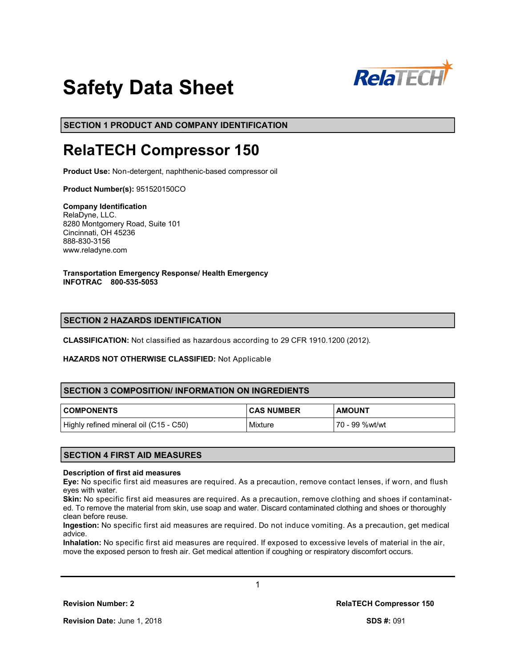

# **Safety Data Sheet**

**SECTION 1 PRODUCT AND COMPANY IDENTIFICATION**

# **RelaTECH Compressor 150**

**Product Use:** Non-detergent, naphthenic-based compressor oil

**Product Number(s):** 951520150CO

**Company Identification** RelaDyne, LLC. 8280 Montgomery Road, Suite 101 Cincinnati, OH 45236 888-830-3156 www.reladyne.com

**Transportation Emergency Response/ Health Emergency INFOTRAC 800-535-5053**

# **SECTION 2 HAZARDS IDENTIFICATION**

**CLASSIFICATION:** Not classified as hazardous according to 29 CFR 1910.1200 (2012).

#### **HAZARDS NOT OTHERWISE CLASSIFIED:** Not Applicable

# **SECTION 3 COMPOSITION/ INFORMATION ON INGREDIENTS**

| <b>COMPONENTS</b>                      | <b>CAS NUMBER</b> | <b>AMOUNT</b>  |
|----------------------------------------|-------------------|----------------|
| Highly refined mineral oil (C15 - C50) | Mixture           | 70 - 99 %wt/wt |

# **SECTION 4 FIRST AID MEASURES**

#### **Description of first aid measures**

**Eye:** No specific first aid measures are required. As a precaution, remove contact lenses, if worn, and flush eyes with water.

**Skin:** No specific first aid measures are required. As a precaution, remove clothing and shoes if contaminated. To remove the material from skin, use soap and water. Discard contaminated clothing and shoes or thoroughly clean before reuse.

**Ingestion:** No specific first aid measures are required. Do not induce vomiting. As a precaution, get medical advice.

**Inhalation:** No specific first aid measures are required. If exposed to excessive levels of material in the air, move the exposed person to fresh air. Get medical attention if coughing or respiratory discomfort occurs.

1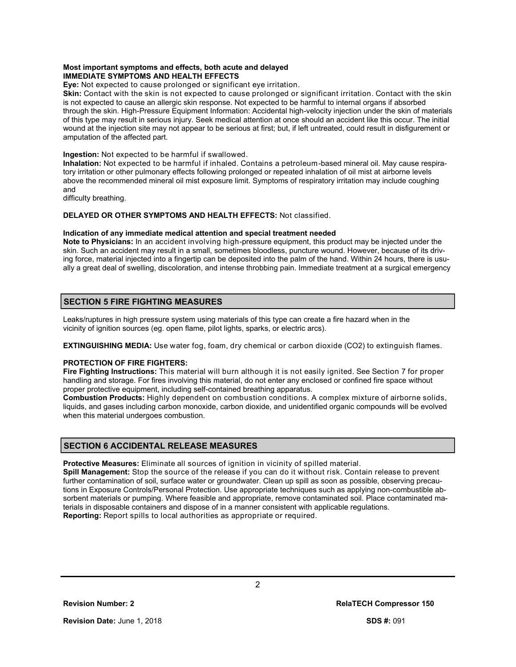#### **Most important symptoms and effects, both acute and delayed IMMEDIATE SYMPTOMS AND HEALTH EFFECTS**

**Eye:** Not expected to cause prolonged or significant eye irritation.

**Skin:** Contact with the skin is not expected to cause prolonged or significant irritation. Contact with the skin is not expected to cause an allergic skin response. Not expected to be harmful to internal organs if absorbed through the skin. High-Pressure Equipment Information: Accidental high-velocity injection under the skin of materials of this type may result in serious injury. Seek medical attention at once should an accident like this occur. The initial wound at the injection site may not appear to be serious at first; but, if left untreated, could result in disfigurement or amputation of the affected part.

#### **Ingestion:** Not expected to be harmful if swallowed.

**Inhalation:** Not expected to be harmful if inhaled. Contains a petroleum-based mineral oil. May cause respiratory irritation or other pulmonary effects following prolonged or repeated inhalation of oil mist at airborne levels above the recommended mineral oil mist exposure limit. Symptoms of respiratory irritation may include coughing and

difficulty breathing.

#### **DELAYED OR OTHER SYMPTOMS AND HEALTH EFFECTS:** Not classified.

#### **Indication of any immediate medical attention and special treatment needed**

**Note to Physicians:** In an accident involving high-pressure equipment, this product may be injected under the skin. Such an accident may result in a small, sometimes bloodless, puncture wound. However, because of its driving force, material injected into a fingertip can be deposited into the palm of the hand. Within 24 hours, there is usually a great deal of swelling, discoloration, and intense throbbing pain. Immediate treatment at a surgical emergency

# **SECTION 5 FIRE FIGHTING MEASURES**

Leaks/ruptures in high pressure system using materials of this type can create a fire hazard when in the vicinity of ignition sources (eg. open flame, pilot lights, sparks, or electric arcs).

**EXTINGUISHING MEDIA:** Use water fog, foam, dry chemical or carbon dioxide (CO2) to extinguish flames.

# **PROTECTION OF FIRE FIGHTERS:**

**Fire Fighting Instructions:** This material will burn although it is not easily ignited. See Section 7 for proper handling and storage. For fires involving this material, do not enter any enclosed or confined fire space without proper protective equipment, including self-contained breathing apparatus.

**Combustion Products:** Highly dependent on combustion conditions. A complex mixture of airborne solids, liquids, and gases including carbon monoxide, carbon dioxide, and unidentified organic compounds will be evolved when this material undergoes combustion.

# **SECTION 6 ACCIDENTAL RELEASE MEASURES**

**Protective Measures:** Eliminate all sources of ignition in vicinity of spilled material.

**Spill Management:** Stop the source of the release if you can do it without risk. Contain release to prevent further contamination of soil, surface water or groundwater. Clean up spill as soon as possible, observing precautions in Exposure Controls/Personal Protection. Use appropriate techniques such as applying non-combustible absorbent materials or pumping. Where feasible and appropriate, remove contaminated soil. Place contaminated materials in disposable containers and dispose of in a manner consistent with applicable regulations. **Reporting:** Report spills to local authorities as appropriate or required.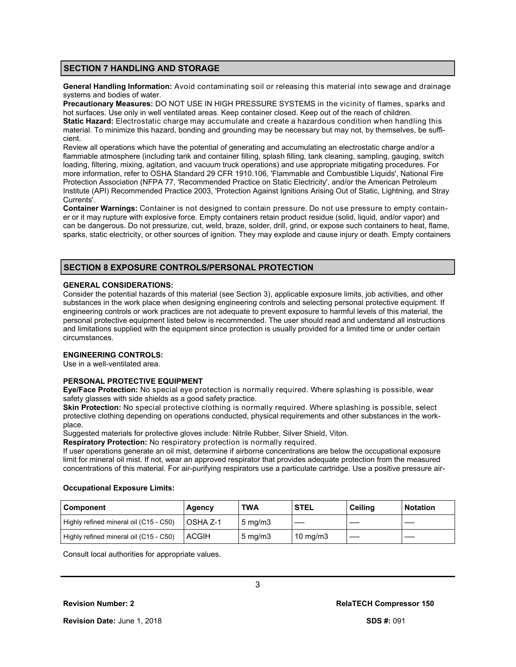#### **SECTION 7 HANDLING AND STORAGE**

**General Handling Information:** Avoid contaminating soil or releasing this material into sewage and drainage systems and bodies of water.

**Precautionary Measures:** DO NOT USE IN HIGH PRESSURE SYSTEMS in the vicinity of flames, sparks and hot surfaces. Use only in well ventilated areas. Keep container closed. Keep out of the reach of children. **Static Hazard:** Electrostatic charge may accumulate and create a hazardous condition when handling this material. To minimize this hazard, bonding and grounding may be necessary but may not, by themselves, be sufficient.

Review all operations which have the potential of generating and accumulating an electrostatic charge and/or a flammable atmosphere (including tank and container filling, splash filling, tank cleaning, sampling, gauging, switch loading, filtering, mixing, agitation, and vacuum truck operations) and use appropriate mitigating procedures. For more information, refer to OSHA Standard 29 CFR 1910.106, 'Flammable and Combustible Liquids', National Fire Protection Association (NFPA 77, 'Recommended Practice on Static Electricity', and/or the American Petroleum Institute (API) Recommended Practice 2003, 'Protection Against Ignitions Arising Out of Static, Lightning, and Stray Currents'.

**Container Warnings:** Container is not designed to contain pressure. Do not use pressure to empty container or it may rupture with explosive force. Empty containers retain product residue (solid, liquid, and/or vapor) and can be dangerous. Do not pressurize, cut, weld, braze, solder, drill, grind, or expose such containers to heat, flame, sparks, static electricity, or other sources of ignition. They may explode and cause injury or death. Empty containers

# **SECTION 8 EXPOSURE CONTROLS/PERSONAL PROTECTION**

#### **GENERAL CONSIDERATIONS:**

Consider the potential hazards of this material (see Section 3), applicable exposure limits, job activities, and other substances in the work place when designing engineering controls and selecting personal protective equipment. If engineering controls or work practices are not adequate to prevent exposure to harmful levels of this material, the personal protective equipment listed below is recommended. The user should read and understand all instructions and limitations supplied with the equipment since protection is usually provided for a limited time or under certain circumstances.

# **ENGINEERING CONTROLS:**

Use in a well-ventilated area.

### **PERSONAL PROTECTIVE EQUIPMENT**

**Eye/Face Protection:** No special eye protection is normally required. Where splashing is possible, wear safety glasses with side shields as a good safety practice.

**Skin Protection:** No special protective clothing is normally required. Where splashing is possible, select protective clothing depending on operations conducted, physical requirements and other substances in the workplace.

Suggested materials for protective gloves include: Nitrile Rubber, Silver Shield, Viton.

**Respiratory Protection:** No respiratory protection is normally required.

If user operations generate an oil mist, determine if airborne concentrations are below the occupational exposure limit for mineral oil mist. If not, wear an approved respirator that provides adequate protection from the measured concentrations of this material. For air-purifying respirators use a particulate cartridge. Use a positive pressure air-

#### **Occupational Exposure Limits:**

| l Component                            | Agency          | <b>TWA</b>         | <b>STEL</b>       | Ceiling | <b>Notation</b> |
|----------------------------------------|-----------------|--------------------|-------------------|---------|-----------------|
| Highly refined mineral oil (C15 - C50) | <b>OSHA Z-1</b> | $5 \text{ ma/m}$ 3 |                   |         |                 |
| Highly refined mineral oil (C15 - C50) | <b>ACGIH</b>    | $5 \text{ mg/m}$   | $10 \text{ mg/m}$ |         |                 |

3

Consult local authorities for appropriate values.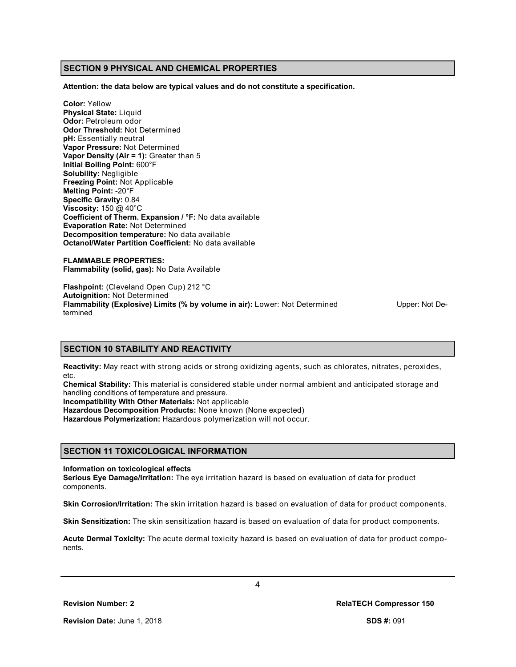### **SECTION 9 PHYSICAL AND CHEMICAL PROPERTIES**

**Attention: the data below are typical values and do not constitute a specification.**

**Color:** Yellow **Physical State:** Liquid **Odor:** Petroleum odor **Odor Threshold:** Not Determined **pH:** Essentially neutral **Vapor Pressure:** Not Determined **Vapor Density (Air = 1):** Greater than 5 **Initial Boiling Point:** 600°F **Solubility:** Negligible **Freezing Point:** Not Applicable **Melting Point:** -20°F **Specific Gravity:** 0.84 **Viscosity:** 150 @ 40°C **Coefficient of Therm. Expansion / °F:** No data available **Evaporation Rate:** Not Determined **Decomposition temperature:** No data available **Octanol/Water Partition Coefficient:** No data available

**FLAMMABLE PROPERTIES: Flammability (solid, gas):** No Data Available

**Flashpoint:** (Cleveland Open Cup) 212 °C **Autoignition:** Not Determined **Flammability (Explosive) Limits (% by volume in air):** Lower: Not Determined Upper: Not Determined

#### **SECTION 10 STABILITY AND REACTIVITY**

**Reactivity:** May react with strong acids or strong oxidizing agents, such as chlorates, nitrates, peroxides, etc.

**Chemical Stability:** This material is considered stable under normal ambient and anticipated storage and handling conditions of temperature and pressure.

**Incompatibility With Other Materials:** Not applicable

**Hazardous Decomposition Products:** None known (None expected)

**Hazardous Polymerization:** Hazardous polymerization will not occur.

#### **SECTION 11 TOXICOLOGICAL INFORMATION**

**Information on toxicological effects**

**Serious Eye Damage/Irritation:** The eye irritation hazard is based on evaluation of data for product components.

**Skin Corrosion/Irritation:** The skin irritation hazard is based on evaluation of data for product components.

**Skin Sensitization:** The skin sensitization hazard is based on evaluation of data for product components.

**Acute Dermal Toxicity:** The acute dermal toxicity hazard is based on evaluation of data for product components.

4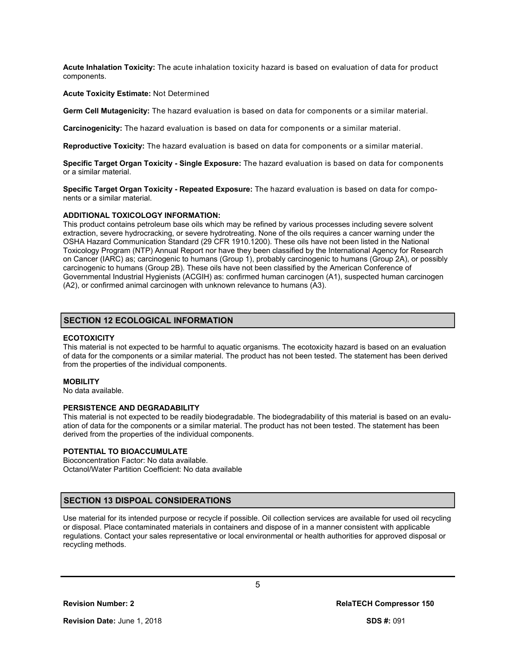**Acute Inhalation Toxicity:** The acute inhalation toxicity hazard is based on evaluation of data for product components.

#### **Acute Toxicity Estimate:** Not Determined

**Germ Cell Mutagenicity:** The hazard evaluation is based on data for components or a similar material.

**Carcinogenicity:** The hazard evaluation is based on data for components or a similar material.

**Reproductive Toxicity:** The hazard evaluation is based on data for components or a similar material.

**Specific Target Organ Toxicity - Single Exposure:** The hazard evaluation is based on data for components or a similar material.

**Specific Target Organ Toxicity - Repeated Exposure:** The hazard evaluation is based on data for components or a similar material.

#### **ADDITIONAL TOXICOLOGY INFORMATION:**

This product contains petroleum base oils which may be refined by various processes including severe solvent extraction, severe hydrocracking, or severe hydrotreating. None of the oils requires a cancer warning under the OSHA Hazard Communication Standard (29 CFR 1910.1200). These oils have not been listed in the National Toxicology Program (NTP) Annual Report nor have they been classified by the International Agency for Research on Cancer (IARC) as; carcinogenic to humans (Group 1), probably carcinogenic to humans (Group 2A), or possibly carcinogenic to humans (Group 2B). These oils have not been classified by the American Conference of Governmental Industrial Hygienists (ACGIH) as: confirmed human carcinogen (A1), suspected human carcinogen (A2), or confirmed animal carcinogen with unknown relevance to humans (A3).

#### **SECTION 12 ECOLOGICAL INFORMATION**

#### **ECOTOXICITY**

This material is not expected to be harmful to aquatic organisms. The ecotoxicity hazard is based on an evaluation of data for the components or a similar material. The product has not been tested. The statement has been derived from the properties of the individual components.

#### **MOBILITY**

No data available.

#### **PERSISTENCE AND DEGRADABILITY**

This material is not expected to be readily biodegradable. The biodegradability of this material is based on an evaluation of data for the components or a similar material. The product has not been tested. The statement has been derived from the properties of the individual components.

#### **POTENTIAL TO BIOACCUMULATE**

Bioconcentration Factor: No data available. Octanol/Water Partition Coefficient: No data available

# **SECTION 13 DISPOAL CONSIDERATIONS**

Use material for its intended purpose or recycle if possible. Oil collection services are available for used oil recycling or disposal. Place contaminated materials in containers and dispose of in a manner consistent with applicable regulations. Contact your sales representative or local environmental or health authorities for approved disposal or recycling methods.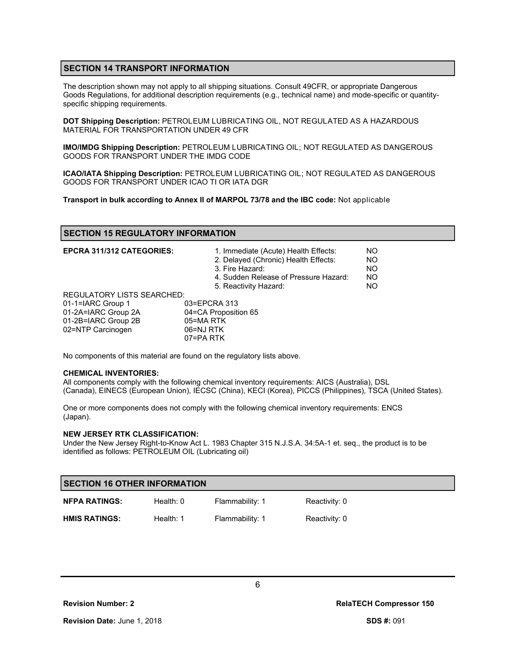# **SECTION 14 TRANSPORT INFORMATION**

The description shown may not apply to all shipping situations. Consult 49CFR, or appropriate Dangerous Goods Regulations, for additional description requirements (e.g., technical name) and mode-specific or quantityspecific shipping requirements.

**DOT Shipping Description:** PETROLEUM LUBRICATING OIL, NOT REGULATED AS A HAZARDOUS MATERIAL FOR TRANSPORTATION UNDER 49 CFR

**IMO/IMDG Shipping Description:** PETROLEUM LUBRICATING OIL; NOT REGULATED AS DANGEROUS GOODS FOR TRANSPORT UNDER THE IMDG CODE

**ICAO/IATA Shipping Description:** PETROLEUM LUBRICATING OIL; NOT REGULATED AS DANGEROUS GOODS FOR TRANSPORT UNDER ICAO TI OR IATA DGR

**Transport in bulk according to Annex II of MARPOL 73/78 and the IBC code:** Not applicable

# **SECTION 15 REGULATORY INFORMATION**

| <b>EPCRA 311/312 CATEGORIES:</b>  | 1. Immediate (Acute) Health Effects:<br>2. Delayed (Chronic) Health Effects:<br>3. Fire Hazard:<br>4. Sudden Release of Pressure Hazard:<br>5. Reactivity Hazard: | NO.<br><b>NO</b><br><b>NO</b><br><b>NO</b><br>NO. |
|-----------------------------------|-------------------------------------------------------------------------------------------------------------------------------------------------------------------|---------------------------------------------------|
| <b>REGULATORY LISTS SEARCHED:</b> |                                                                                                                                                                   |                                                   |
| 01-1=IARC Group 1                 | 03=EPCRA 313                                                                                                                                                      |                                                   |
| 01-2A=IARC Group 2A               | 04=CA Proposition 65                                                                                                                                              |                                                   |
| 01-2B=IARC Group 2B               | 05=MA RTK                                                                                                                                                         |                                                   |
| 02=NTP Carcinogen                 | 06=NJ RTK                                                                                                                                                         |                                                   |
|                                   | 07=PA RTK                                                                                                                                                         |                                                   |

No components of this material are found on the regulatory lists above.

#### **CHEMICAL INVENTORIES:**

All components comply with the following chemical inventory requirements: AICS (Australia), DSL (Canada), EINECS (European Union), IECSC (China), KECI (Korea), PICCS (Philippines), TSCA (United States).

One or more components does not comply with the following chemical inventory requirements: ENCS (Japan).

#### **NEW JERSEY RTK CLASSIFICATION:**

Under the New Jersey Right-to-Know Act L. 1983 Chapter 315 N.J.S.A. 34:5A-1 et. seq., the product is to be identified as follows: PETROLEUM OIL (Lubricating oil)

| <b>SECTION 16 OTHER INFORMATION</b> |             |                 |               |  |
|-------------------------------------|-------------|-----------------|---------------|--|
| <b>NFPA RATINGS:</b>                | Health: $0$ | Flammability: 1 | Reactivity: 0 |  |
| <b>HMIS RATINGS:</b>                | Health: $1$ | Flammability: 1 | Reactivity: 0 |  |